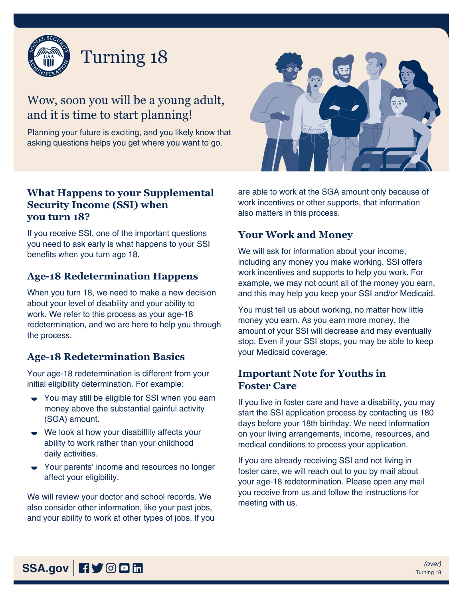

# Wow, soon you will be a young adult, and it is time to start planning!

Planning your future is exciting, and you likely know that asking questions helps you get where you want to go.

## **What Happens to your Supplemental Security Income (SSI) when you turn 18?**

If you receive SSI, one of the important questions you need to ask early is what happens to your SSI benefits when you turn age 18.

#### **Age-18 Redetermination Happens**

When you turn 18, we need to make a new decision about your level of disability and your ability to work. We refer to this process as your age-18 redetermination, and we are here to help you through the process.

# **Age-18 Redetermination Basics**

Your age-18 redetermination is different from your initial eligibility determination. For example:

- You may still be eligible for SSI when you earn money above the substantial gainful activity (SGA) amount.
- We look at how your disabillity affects your ability to work rather than your childhood daily activities.
- Your parents' income and resources no longer affect your eligibility.

We will review your doctor and school records. We also consider other information, like your past jobs, and your ability to work at other types of jobs. If you



are able to work at the SGA amount only because of work incentives or other supports, that information also matters in this process.

# **Your Work and Money**

We will ask for information about your income, including any money you make working. SSI offers work incentives and supports to help you work. For example, we may not count all of the money you earn, and this may help you keep your SSI and/or Medicaid.

You must tell us about working, no matter how little money you earn. As you earn more money, the amount of your SSI will decrease and may eventually stop. Even if your SSI stops, you may be able to keep your Medicaid coverage.

## **Important Note for Youths in Foster Care**

If you live in foster care and have a disability, you may start the SSI application process by contacting us 180 days before your 18th birthday. We need information on your living arrangements, income, resources, and medical conditions to process your application.

If you are already receiving SSI and not living in foster care, we will reach out to you by mail about your age-18 redetermination. Please open any mail you receive from us and follow the instructions for meeting with us.

**SSA.gov iii**  $\frac{(over)}{1}$  **f**  $\frac{1}{2}$  **iii iii iii iii iii iii iii iii iii iii iii iii iii iii iii iii iii iii iii iii iii iii iii iii iii iii iii iii iii iii**